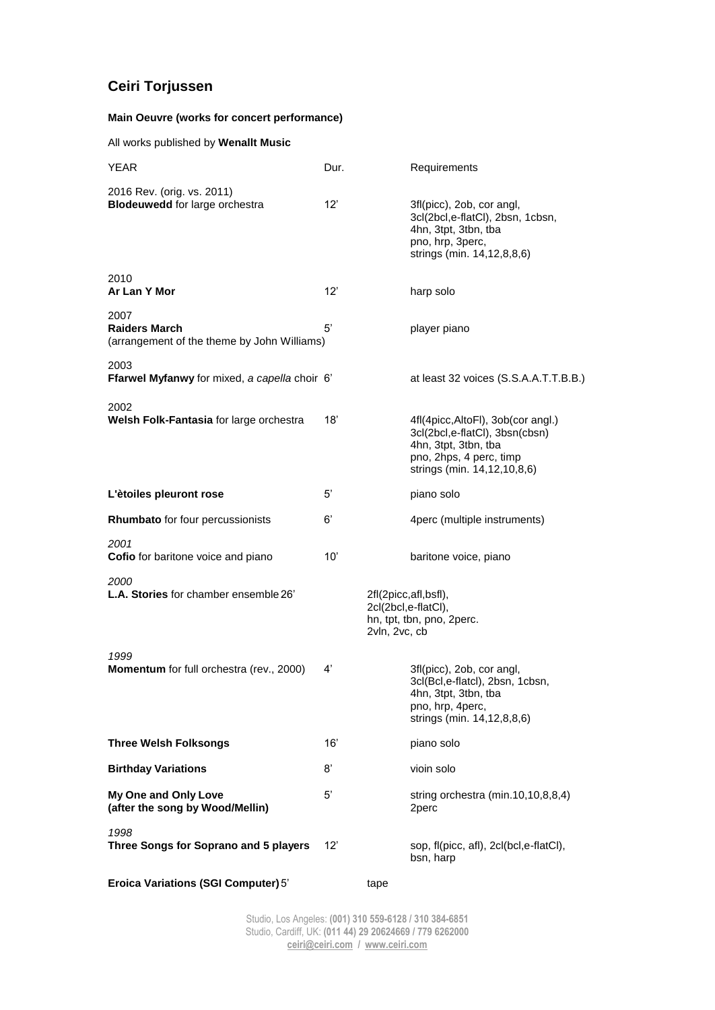## **Ceiri Torjussen**

## **Main Oeuvre (works for concert performance)**

All works published by **Wenallt Music**

| <b>YEAR</b>                                                                 | Dur.         | Requirements                                                                                                                                           |
|-----------------------------------------------------------------------------|--------------|--------------------------------------------------------------------------------------------------------------------------------------------------------|
| 2016 Rev. (orig. vs. 2011)<br><b>Blodeuwedd</b> for large orchestra         | 12'          | 3fl(picc), 2ob, cor angl,<br>3cl(2bcl,e-flatCl), 2bsn, 1cbsn,<br>4hn, 3tpt, 3tbn, tba<br>pno, hrp, 3perc,<br>strings (min. 14,12,8,8,6)                |
| 2010<br>Ar Lan Y Mor                                                        | 12'          | harp solo                                                                                                                                              |
| 2007<br><b>Raiders March</b><br>(arrangement of the theme by John Williams) | 5'           | player piano                                                                                                                                           |
| 2003<br>Ffarwel Myfanwy for mixed, a capella choir 6'                       |              | at least 32 voices (S.S.A.A.T.T.B.B.)                                                                                                                  |
| 2002<br>Welsh Folk-Fantasia for large orchestra                             | 18'          | 4fl(4picc, AltoFl), 3ob(cor angl.)<br>3cl(2bcl,e-flatCl), 3bsn(cbsn)<br>4hn, 3tpt, 3tbn, tba<br>pno, 2hps, 4 perc, timp<br>strings (min. 14,12,10,8,6) |
| L'ètoiles pleuront rose                                                     | 5'           | piano solo                                                                                                                                             |
| Rhumbato for four percussionists                                            | 6'           | 4perc (multiple instruments)                                                                                                                           |
| 2001<br><b>Cofio</b> for baritone voice and piano                           | 10'          | baritone voice, piano                                                                                                                                  |
| 2000<br>L.A. Stories for chamber ensemble 26'                               |              | 2fl(2picc,afl,bsfl),<br>2cl(2bcl,e-flatCl),<br>hn, tpt, tbn, pno, 2perc.<br>2vln, 2vc, cb                                                              |
| 1999<br>Momentum for full orchestra (rev., 2000)                            | 4'           | 3fl(picc), 2ob, cor angl,<br>3cl(Bcl,e-flatcl), 2bsn, 1cbsn,<br>4hn, 3tpt, 3tbn, tba<br>pno, hrp, 4perc,<br>strings (min. 14,12,8,8,6)                 |
| <b>Three Welsh Folksongs</b>                                                | 16'          | piano solo                                                                                                                                             |
| <b>Birthday Variations</b>                                                  | 8'           | vioin solo                                                                                                                                             |
| My One and Only Love<br>(after the song by Wood/Mellin)                     | 5'           | string orchestra (min.10,10,8,8,4)<br>2perc                                                                                                            |
| 1998<br>Three Songs for Soprano and 5 players                               | $12^{\circ}$ | sop, fl(picc, afl), 2cl(bcl,e-flatCl),<br>bsn, harp                                                                                                    |

**Eroica Variations (SGI Computer)** 5' tape

Studio, Los Angeles: **(001) 310 559-6128 / 310 384-6851** Studio, Cardiff, UK: **(011 44) 29 20624669 / 779 6262000 [ceiri@ceiri.com](mailto:ceiri@ceiri.com) / [www.ceiri.com](http://www.ceiri.com/)**